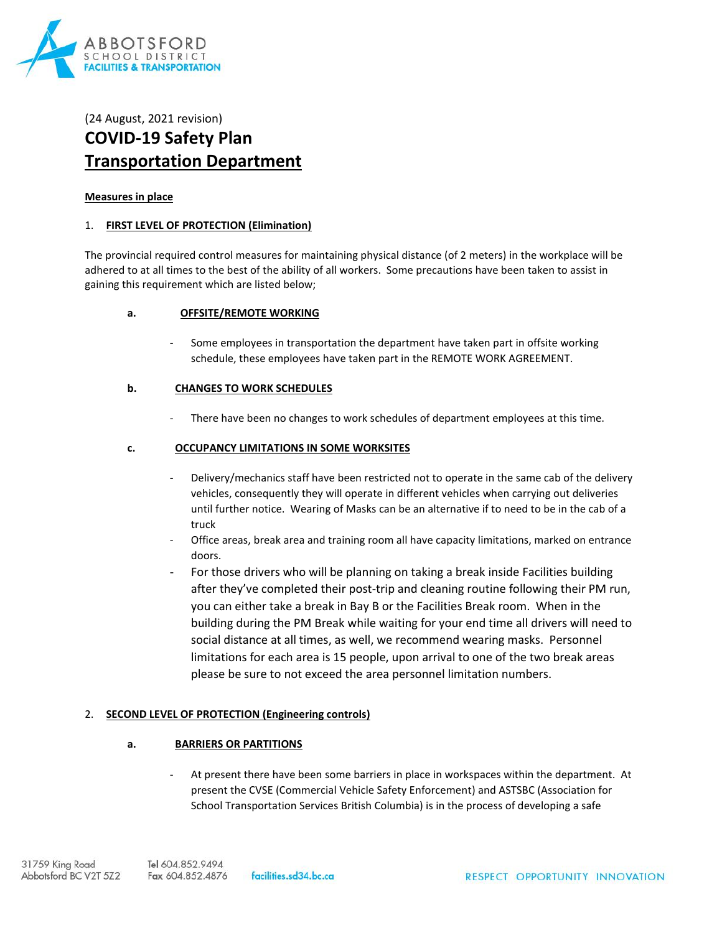

# (24 August, 2021 revision) **COVID-19 Safety Plan Transportation Department**

#### **Measures in place**

#### 1. **FIRST LEVEL OF PROTECTION (Elimination)**

The provincial required control measures for maintaining physical distance (of 2 meters) in the workplace will be adhered to at all times to the best of the ability of all workers. Some precautions have been taken to assist in gaining this requirement which are listed below;

#### **a. OFFSITE/REMOTE WORKING**

Some employees in transportation the department have taken part in offsite working schedule, these employees have taken part in the REMOTE WORK AGREEMENT.

#### **b. CHANGES TO WORK SCHEDULES**

There have been no changes to work schedules of department employees at this time.

#### **c. OCCUPANCY LIMITATIONS IN SOME WORKSITES**

- Delivery/mechanics staff have been restricted not to operate in the same cab of the delivery vehicles, consequently they will operate in different vehicles when carrying out deliveries until further notice. Wearing of Masks can be an alternative if to need to be in the cab of a truck
- Office areas, break area and training room all have capacity limitations, marked on entrance doors.
- For those drivers who will be planning on taking a break inside Facilities building after they've completed their post-trip and cleaning routine following their PM run, you can either take a break in Bay B or the Facilities Break room. When in the building during the PM Break while waiting for your end time all drivers will need to social distance at all times, as well, we recommend wearing masks. Personnel limitations for each area is 15 people, upon arrival to one of the two break areas please be sure to not exceed the area personnel limitation numbers.

## 2. **SECOND LEVEL OF PROTECTION (Engineering controls)**

## **a. BARRIERS OR PARTITIONS**

At present there have been some barriers in place in workspaces within the department. At present the CVSE (Commercial Vehicle Safety Enforcement) and ASTSBC (Association for School Transportation Services British Columbia) is in the process of developing a safe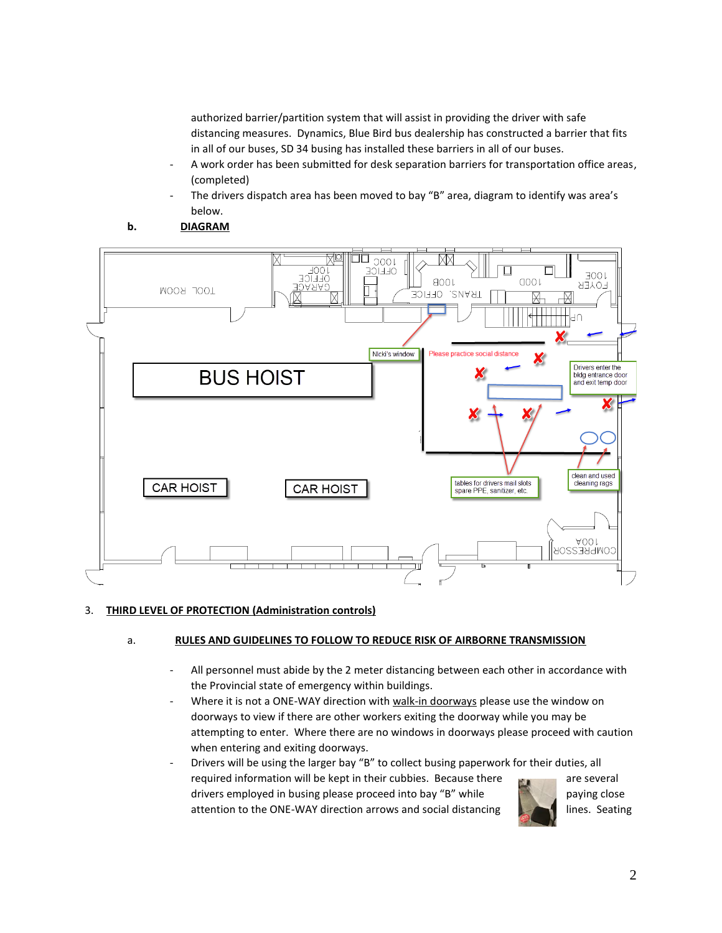authorized barrier/partition system that will assist in providing the driver with safe distancing measures. Dynamics, Blue Bird bus dealership has constructed a barrier that fits in all of our buses, SD 34 busing has installed these barriers in all of our buses.

- A work order has been submitted for desk separation barriers for transportation office areas, (completed)
- The drivers dispatch area has been moved to bay "B" area, diagram to identify was area's below.
- **b. DIAGRAM**



# 3. **THIRD LEVEL OF PROTECTION (Administration controls)**

# a. **RULES AND GUIDELINES TO FOLLOW TO REDUCE RISK OF AIRBORNE TRANSMISSION**

- All personnel must abide by the 2 meter distancing between each other in accordance with the Provincial state of emergency within buildings.
- Where it is not a ONE-WAY direction with walk-in doorways please use the window on doorways to view if there are other workers exiting the doorway while you may be attempting to enter. Where there are no windows in doorways please proceed with caution when entering and exiting doorways.
- Drivers will be using the larger bay "B" to collect busing paperwork for their duties, all required information will be kept in their cubbies. Because there are several drivers employed in busing please proceed into bay "B" while paying close attention to the ONE-WAY direction arrows and social distancing lines. Seating

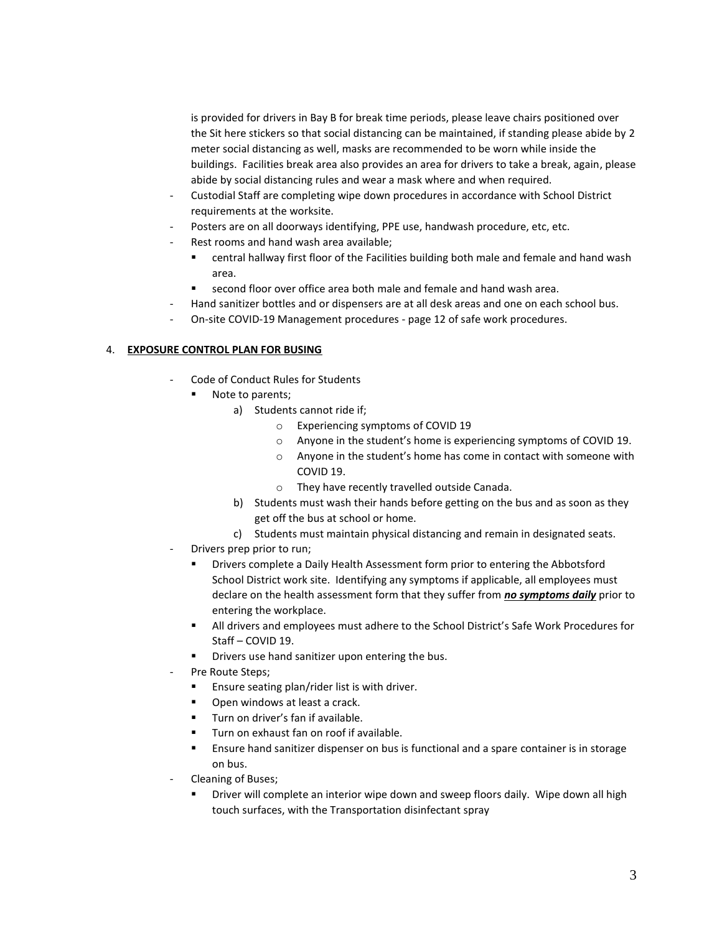is provided for drivers in Bay B for break time periods, please leave chairs positioned over the Sit here stickers so that social distancing can be maintained, if standing please abide by 2 meter social distancing as well, masks are recommended to be worn while inside the buildings. Facilities break area also provides an area for drivers to take a break, again, please abide by social distancing rules and wear a mask where and when required.

- Custodial Staff are completing wipe down procedures in accordance with School District requirements at the worksite.
- Posters are on all doorways identifying, PPE use, handwash procedure, etc, etc.
- Rest rooms and hand wash area available;
	- central hallway first floor of the Facilities building both male and female and hand wash area.
	- second floor over office area both male and female and hand wash area.
	- Hand sanitizer bottles and or dispensers are at all desk areas and one on each school bus.
- On-site COVID-19 Management procedures page 12 of safe work procedures.

## 4. **EXPOSURE CONTROL PLAN FOR BUSING**

- Code of Conduct Rules for Students
	- Note to parents;
		- a) Students cannot ride if;
			- o Experiencing symptoms of COVID 19
			- o Anyone in the student's home is experiencing symptoms of COVID 19.
			- o Anyone in the student's home has come in contact with someone with COVID 19.
			- o They have recently travelled outside Canada.
		- b) Students must wash their hands before getting on the bus and as soon as they get off the bus at school or home.
		- c) Students must maintain physical distancing and remain in designated seats.
- Drivers prep prior to run;
	- Drivers complete a Daily Health Assessment form prior to entering the Abbotsford School District work site. Identifying any symptoms if applicable, all employees must declare on the health assessment form that they suffer from *no symptoms daily* prior to entering the workplace.
	- **■** All drivers and employees must adhere to the School District's Safe Work Procedures for Staff – COVID 19.
	- Drivers use hand sanitizer upon entering the bus.
- Pre Route Steps;
	- Ensure seating plan/rider list is with driver.
	- Open windows at least a crack.
	- Turn on driver's fan if available.
	- Turn on exhaust fan on roof if available.
	- Ensure hand sanitizer dispenser on bus is functional and a spare container is in storage on bus.
- Cleaning of Buses;
	- Driver will complete an interior wipe down and sweep floors daily. Wipe down all high touch surfaces, with the Transportation disinfectant spray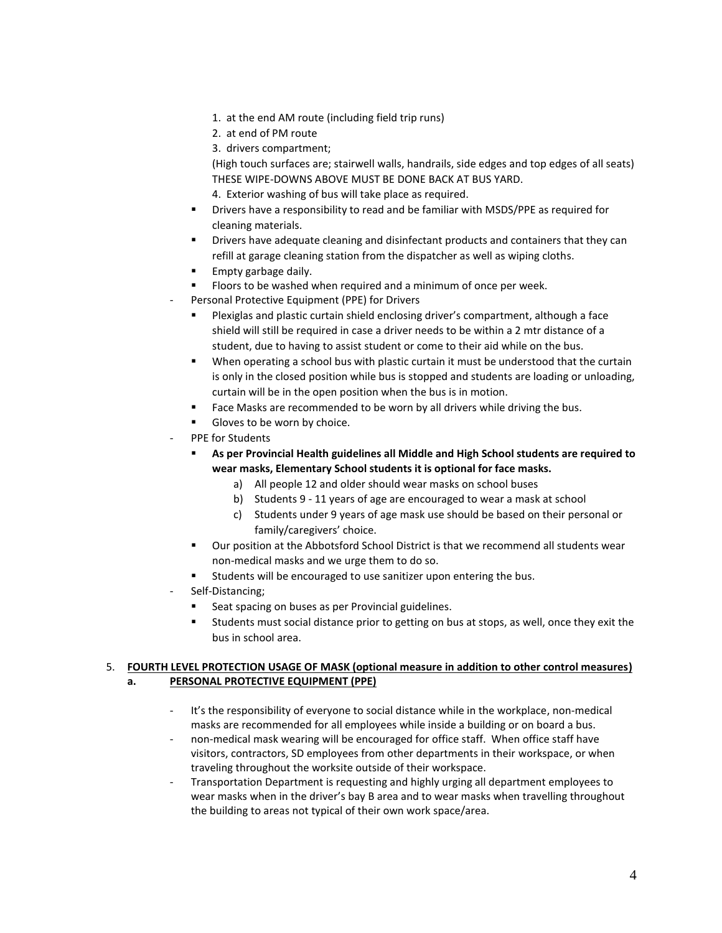- 1. at the end AM route (including field trip runs)
- 2. at end of PM route
- 3. drivers compartment;

(High touch surfaces are; stairwell walls, handrails, side edges and top edges of all seats) THESE WIPE-DOWNS ABOVE MUST BE DONE BACK AT BUS YARD.

- 4. Exterior washing of bus will take place as required.
- Drivers have a responsibility to read and be familiar with MSDS/PPE as required for cleaning materials.
- Drivers have adequate cleaning and disinfectant products and containers that they can refill at garage cleaning station from the dispatcher as well as wiping cloths.
- Empty garbage daily.
- Floors to be washed when required and a minimum of once per week.
- Personal Protective Equipment (PPE) for Drivers
	- Plexiglas and plastic curtain shield enclosing driver's compartment, although a face shield will still be required in case a driver needs to be within a 2 mtr distance of a student, due to having to assist student or come to their aid while on the bus.
	- When operating a school bus with plastic curtain it must be understood that the curtain is only in the closed position while bus is stopped and students are loading or unloading, curtain will be in the open position when the bus is in motion.
	- Face Masks are recommended to be worn by all drivers while driving the bus.
	- Gloves to be worn by choice.
- PPE for Students
	- **As per Provincial Health guidelines all Middle and High School students are required to wear masks, Elementary School students it is optional for face masks.**
		- a) All people 12 and older should wear masks on school buses
		- b) Students 9 11 years of age are encouraged to wear a mask at school
		- c) Students under 9 years of age mask use should be based on their personal or family/caregivers' choice.
	- Our position at the Abbotsford School District is that we recommend all students wear non-medical masks and we urge them to do so.
	- Students will be encouraged to use sanitizer upon entering the bus.
- Self-Distancing;
	- Seat spacing on buses as per Provincial guidelines.
	- Students must social distance prior to getting on bus at stops, as well, once they exit the bus in school area.

## 5. **FOURTH LEVEL PROTECTION USAGE OF MASK (optional measure in addition to other control measures) a. PERSONAL PROTECTIVE EQUIPMENT (PPE)**

- It's the responsibility of everyone to social distance while in the workplace, non-medical masks are recommended for all employees while inside a building or on board a bus.
- non-medical mask wearing will be encouraged for office staff. When office staff have visitors, contractors, SD employees from other departments in their workspace, or when traveling throughout the worksite outside of their workspace.
- Transportation Department is requesting and highly urging all department employees to wear masks when in the driver's bay B area and to wear masks when travelling throughout the building to areas not typical of their own work space/area.